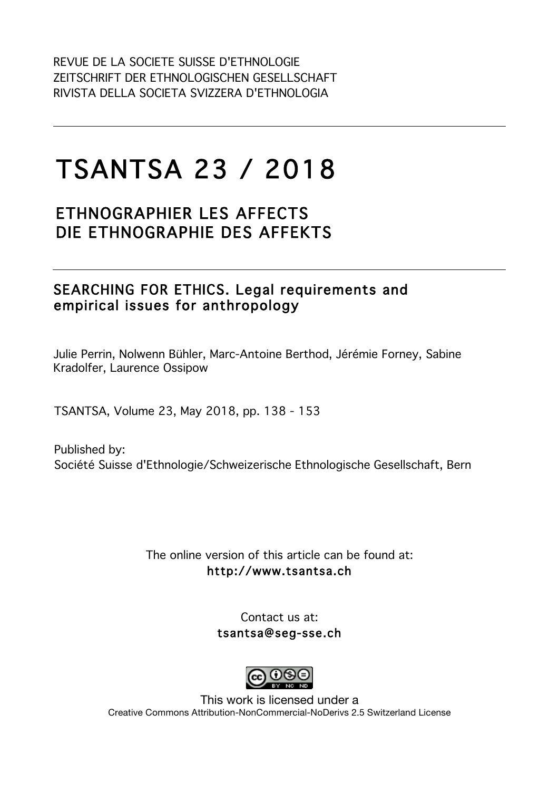# TSANTSA 23 / 2018

## ETHNOGRAPHIER LES AFFECTS DIE ETHNOGRAPHIE DES AFFEKTS

### SEARCHING FOR ETHICS. Legal requirements and empirical issues for anthropology

Julie Perrin, Nolwenn Bühler, Marc-Antoine Berthod, Jérémie Forney, Sabine Kradolfer, Laurence Ossipow

TSANTSA, Volume 23, May 2018, pp. 138 - 153

Published by: Société Suisse d'Ethnologie/Schweizerische Ethnologische Gesellschaft, Bern

> The online version of this article can be found at: http://www.tsantsa.ch

> > Contact us at: tsantsa@seg-sse.ch



This work is licensed under a Creative Commons Attribution-NonCommercial-NoDerivs 2.5 Switzerland License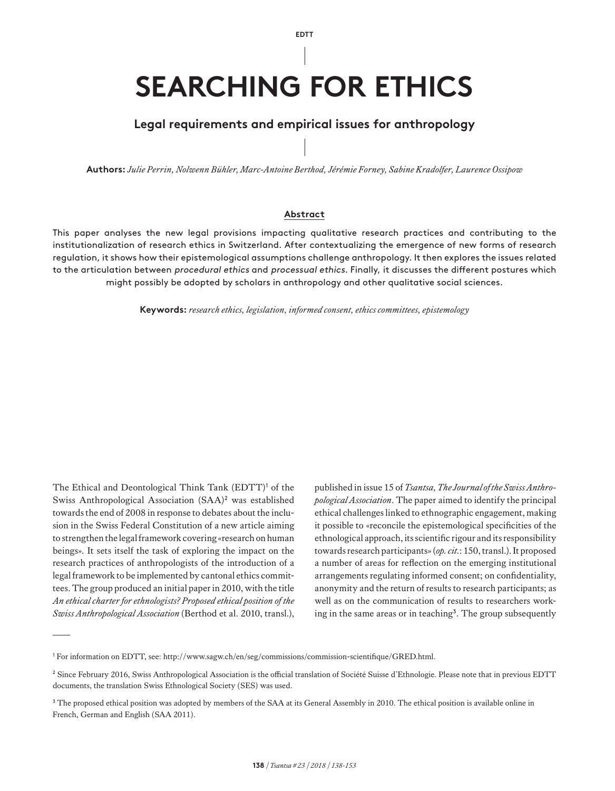**EDTT**

## **SEARCHING FOR ETHICS**

#### **Legal requirements and empirical issues for anthropology**

**Authors:** *Julie Perrin, Nolwenn Bühler, Marc-Antoine Berthod, Jérémie Forney, Sabine Kradolfer, Laurence Ossipow*

#### **Abstract**

This paper analyses the new legal provisions impacting qualitative research practices and contributing to the institutionalization of research ethics in Switzerland. After contextualizing the emergence of new forms of research regulation, it shows how their epistemological assumptions challenge anthropology. It then explores the issues related to the articulation between procedural ethics and processual ethics. Finally, it discusses the different postures which might possibly be adopted by scholars in anthropology and other qualitative social sciences.

**Keywords:** *research ethics, legislation, informed consent, ethics committees, epistemology*

The Ethical and Deontological Think Tank (EDTT)<sup>1</sup> of the Swiss Anthropological Association (SAA)<sup>2</sup> was established towards the end of 2008 in response to debates about the inclusion in the Swiss Federal Constitution of a new article aiming to strengthen the legal framework covering «research on human beings». It sets itself the task of exploring the impact on the research practices of anthropologists of the introduction of a legal framework to be implemented by cantonal ethics committees. The group produced an initial paper in 2010, with the title *An ethical charter for ethnologists? Proposed ethical position of the Swiss Anthropological Association* (Berthod et al. 2010, transl.),

published in issue 15 of *Tsantsa, The Journal of the Swiss Anthropological Association*. The paper aimed to identify the principal ethical challenges linked to ethnographic engagement, making it possible to «reconcile the epistemological specificities of the ethnological approach, its scientific rigour and its responsibility towards research participants» (*op. cit.*: 150, transl.). It proposed a number of areas for reflection on the emerging institutional arrangements regulating informed consent; on confidentiality, anonymity and the return of results to research participants; as well as on the communication of results to researchers working in the same areas or in teaching<sup>3</sup>. The group subsequently

<sup>1</sup> For information on EDTT, see: <http://www.sagw.ch/en/seg/commissions/commission-scientifique/GRED.html>.

<sup>2</sup> Since February 2016, Swiss Anthropological Association is the official translation of Société Suisse d'Ethnologie. Please note that in previous EDTT documents, the translation Swiss Ethnological Society (SES) was used.

<sup>&</sup>lt;sup>3</sup> The proposed ethical position was adopted by members of the SAA at its General Assembly in 2010. The ethical position is available online in French, German and English (SAA 2011).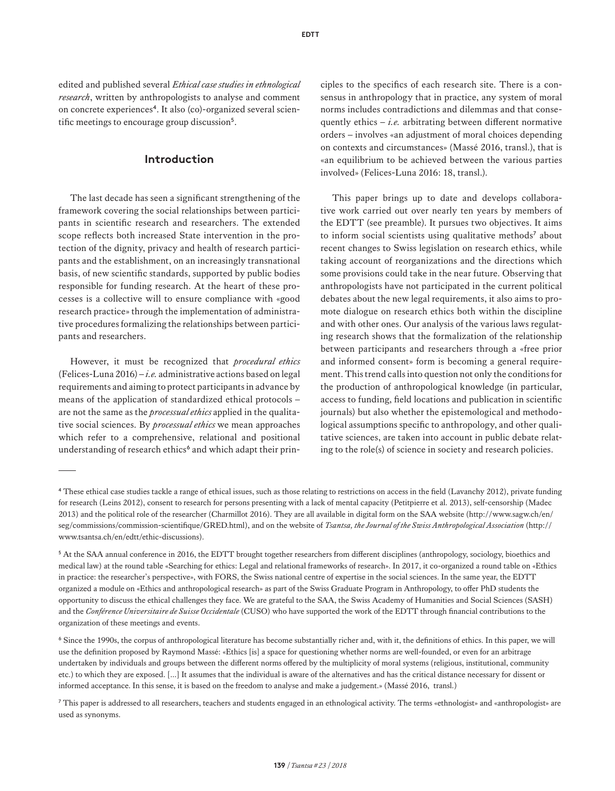edited and published several *Ethical case studies in ethnological research*, written by anthropologists to analyse and comment on concrete experiences4. It also (co)-organized several scientific meetings to encourage group discussion<sup>5</sup>.

#### **Introduction**

The last decade has seen a significant strengthening of the framework covering the social relationships between participants in scientific research and researchers. The extended scope reflects both increased State intervention in the protection of the dignity, privacy and health of research participants and the establishment, on an increasingly transnational basis, of new scientific standards, supported by public bodies responsible for funding research. At the heart of these processes is a collective will to ensure compliance with «good research practice» through the implementation of administrative procedures formalizing the relationships between participants and researchers.

However, it must be recognized that *procedural ethics*  (Felices-Luna 2016) – *i.e.* administrative actions based on legal requirements and aiming to protect participants in advance by means of the application of standardized ethical protocols – are not the same as the *processual ethics* applied in the qualitative social sciences. By *processual ethics* we mean approaches which refer to a comprehensive, relational and positional understanding of research ethics<sup>6</sup> and which adapt their principles to the specifics of each research site. There is a consensus in anthropology that in practice, any system of moral norms includes contradictions and dilemmas and that consequently ethics  $- i.e.$  arbitrating between different normative orders – involves «an adjustment of moral choices depending on contexts and circumstances» (Massé 2016, transl.), that is «an equilibrium to be achieved between the various parties involved» (Felices-Luna 2016: 18, transl.).

This paper brings up to date and develops collaborative work carried out over nearly ten years by members of the EDTT (see preamble). It pursues two objectives. It aims to inform social scientists using qualitative methods<sup>7</sup> about recent changes to Swiss legislation on research ethics, while taking account of reorganizations and the directions which some provisions could take in the near future. Observing that anthropologists have not participated in the current political debates about the new legal requirements, it also aims to promote dialogue on research ethics both within the discipline and with other ones. Our analysis of the various laws regulating research shows that the formalization of the relationship between participants and researchers through a «free prior and informed consent» form is becoming a general requirement. This trend calls into question not only the conditions for the production of anthropological knowledge (in particular, access to funding, field locations and publication in scientific journals) but also whether the epistemological and methodological assumptions specific to anthropology, and other qualitative sciences, are taken into account in public debate relating to the role(s) of science in society and research policies.

<sup>4</sup> These ethical case studies tackle a range of ethical issues, such as those relating to restrictions on access in the field (Lavanchy 2012), private funding for research (Leins 2012), consent to research for persons presenting with a lack of mental capacity (Petitpierre et al. 2013), self-censorship (Madec 2013) and the political role of the researcher (Charmillot 2016). They are all available in digital form on the SAA website ([http://www.sagw.ch/en/](http://www.sagw.ch/en/seg/commissions/commission-scientifique/GRED.html) [seg/commissions/commission-scientifique/GRED.html](http://www.sagw.ch/en/seg/commissions/commission-scientifique/GRED.html)), and on the website of *Tsantsa, the Journal of the Swiss Anthropological Association* [\(http://](http://www.tsantsa.ch/en/edtt/ethic-discussions) [www.tsantsa.ch/en/edtt/ethic-discussions\)](http://www.tsantsa.ch/en/edtt/ethic-discussions).

<sup>&</sup>lt;sup>5</sup> At the SAA annual conference in 2016, the EDTT brought together researchers from different disciplines (anthropology, sociology, bioethics and medical law) at the round table «Searching for ethics: Legal and relational frameworks of research». In 2017, it co-organized a round table on «Ethics in practice: the researcher's perspective», with FORS, the Swiss national centre of expertise in the social sciences. In the same year, the EDTT organized a module on «Ethics and anthropological research» as part of the Swiss Graduate Program in Anthropology, to offer PhD students the opportunity to discuss the ethical challenges they face. We are grateful to the SAA, the Swiss Academy of Humanities and Social Sciences (SASH) and the *Conférence Universitaire de Suisse Occidentale* (CUSO) who have supported the work of the EDTT through financial contributions to the organization of these meetings and events.

<sup>6</sup> Since the 1990s, the corpus of anthropological literature has become substantially richer and, with it, the definitions of ethics. In this paper, we will use the definition proposed by Raymond Massé: «Ethics [is] a space for questioning whether norms are well-founded, or even for an arbitrage undertaken by individuals and groups between the different norms offered by the multiplicity of moral systems (religious, institutional, community etc.) to which they are exposed. [...] It assumes that the individual is aware of the alternatives and has the critical distance necessary for dissent or informed acceptance. In this sense, it is based on the freedom to analyse and make a judgement.» (Massé 2016, transl.)

<sup>7</sup> This paper is addressed to all researchers, teachers and students engaged in an ethnological activity. The terms «ethnologist» and «anthropologist» are used as synonyms.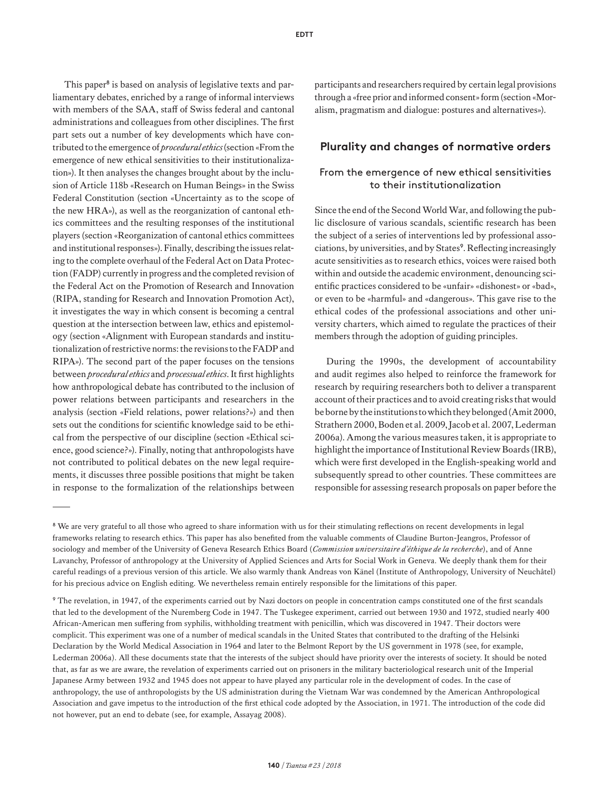**EDTT**

This paper<sup>8</sup> is based on analysis of legislative texts and parliamentary debates, enriched by a range of informal interviews with members of the SAA, staff of Swiss federal and cantonal administrations and colleagues from other disciplines. The first part sets out a number of key developments which have contributed to the emergence of *procedural ethics* (section «From the emergence of new ethical sensitivities to their institutionalization»). It then analyses the changes brought about by the inclusion of Article 118b «Research on Human Beings» in the Swiss Federal Constitution (section «Uncertainty as to the scope of the new HRA»), as well as the reorganization of cantonal ethics committees and the resulting responses of the institutional players (section «Reorganization of cantonal ethics committees and institutional responses»). Finally, describing the issues relating to the complete overhaul of the Federal Act on Data Protection (FADP) currently in progress and the completed revision of the Federal Act on the Promotion of Research and Innovation (RIPA, standing for Research and Innovation Promotion Act), it investigates the way in which consent is becoming a central question at the intersection between law, ethics and epistemology (section «Alignment with European standards and institutionalization of restrictive norms: the revisions to the FADP and RIPA»). The second part of the paper focuses on the tensions between *procedural ethics* and *processual ethics*. It first highlights how anthropological debate has contributed to the inclusion of power relations between participants and researchers in the analysis (section «Field relations, power relations?») and then sets out the conditions for scientific knowledge said to be ethical from the perspective of our discipline (section «Ethical science, good science?»). Finally, noting that anthropologists have not contributed to political debates on the new legal requirements, it discusses three possible positions that might be taken in response to the formalization of the relationships between participants and researchers required by certain legal provisions through a «free prior and informed consent» form (section «Moralism, pragmatism and dialogue: postures and alternatives»).

#### **Plurality and changes of normative orders**

#### From the emergence of new ethical sensitivities to their institutionalization

Since the end of the Second World War, and following the public disclosure of various scandals, scientific research has been the subject of a series of interventions led by professional associations, by universities, and by States<sup>9</sup>. Reflecting increasingly acute sensitivities as to research ethics, voices were raised both within and outside the academic environment, denouncing scientific practices considered to be «unfair» «dishonest» or «bad», or even to be «harmful» and «dangerous». This gave rise to the ethical codes of the professional associations and other university charters, which aimed to regulate the practices of their members through the adoption of guiding principles.

During the 1990s, the development of accountability and audit regimes also helped to reinforce the framework for research by requiring researchers both to deliver a transparent account of their practices and to avoid creating risks that would be borne by the institutions to which they belonged (Amit 2000, Strathern 2000, Boden et al. 2009, Jacob et al. 2007, Lederman 2006a). Among the various measures taken, it is appropriate to highlight the importance of Institutional Review Boards (IRB), which were first developed in the English-speaking world and subsequently spread to other countries. These committees are responsible for assessing research proposals on paper before the

<sup>&</sup>lt;sup>8</sup> We are very grateful to all those who agreed to share information with us for their stimulating reflections on recent developments in legal frameworks relating to research ethics. This paper has also benefited from the valuable comments of Claudine Burton-Jeangros, Professor of sociology and member of the University of Geneva Research Ethics Board (*Commission universitaire d'éthique de la recherche*), and of Anne Lavanchy, Professor of anthropology at the University of Applied Sciences and Arts for Social Work in Geneva. We deeply thank them for their careful readings of a previous version of this article. We also warmly thank Andreas von Känel (Institute of Anthropology, University of Neuchâtel) for his precious advice on English editing. We nevertheless remain entirely responsible for the limitations of this paper.

<sup>&</sup>lt;sup>9</sup> The revelation, in 1947, of the experiments carried out by Nazi doctors on people in concentration camps constituted one of the first scandals that led to the development of the Nuremberg Code in 1947. The Tuskegee experiment, carried out between 1930 and 1972, studied nearly 400 African-American men suffering from syphilis, withholding treatment with penicillin, which was discovered in 1947. Their doctors were complicit. This experiment was one of a number of medical scandals in the United States that contributed to the drafting of the Helsinki Declaration by the World Medical Association in 1964 and later to the Belmont Report by the US government in 1978 (see, for example, Lederman 2006a). All these documents state that the interests of the subject should have priority over the interests of society. It should be noted that, as far as we are aware, the revelation of experiments carried out on prisoners in the military bacteriological research unit of the Imperial Japanese Army between 1932 and 1945 does not appear to have played any particular role in the development of codes. In the case of anthropology, the use of anthropologists by the US administration during the Vietnam War was condemned by the American Anthropological Association and gave impetus to the introduction of the first ethical code adopted by the Association, in 1971. The introduction of the code did not however, put an end to debate (see, for example, Assayag 2008).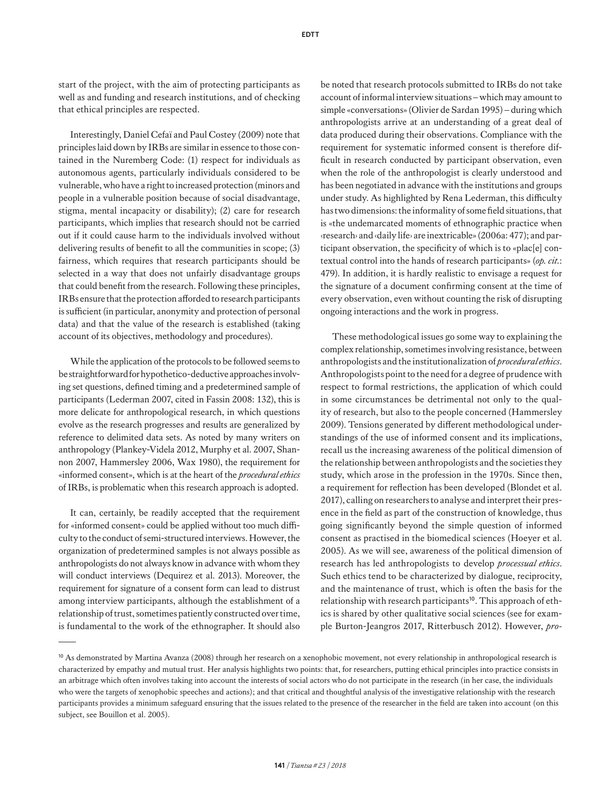start of the project, with the aim of protecting participants as well as and funding and research institutions, and of checking that ethical principles are respected.

Interestingly, Daniel Cefaï and Paul Costey (2009) note that principles laid down by IRBs are similar in essence to those contained in the Nuremberg Code: (1) respect for individuals as autonomous agents, particularly individuals considered to be vulnerable, who have a right to increased protection (minors and people in a vulnerable position because of social disadvantage, stigma, mental incapacity or disability); (2) care for research participants, which implies that research should not be carried out if it could cause harm to the individuals involved without delivering results of benefit to all the communities in scope; (3) fairness, which requires that research participants should be selected in a way that does not unfairly disadvantage groups that could benefit from the research. Following these principles, IRBs ensure that the protection afforded to research participants is sufficient (in particular, anonymity and protection of personal data) and that the value of the research is established (taking account of its objectives, methodology and procedures).

While the application of the protocols to be followed seems to be straightforward for hypothetico-deductive approaches involving set questions, defined timing and a predetermined sample of participants (Lederman 2007, cited in Fassin 2008: 132), this is more delicate for anthropological research, in which questions evolve as the research progresses and results are generalized by reference to delimited data sets. As noted by many writers on anthropology (Plankey-Videla 2012, Murphy et al. 2007, Shannon 2007, Hammersley 2006, Wax 1980), the requirement for «informed consent», which is at the heart of the *procedural ethics*  of IRBs, is problematic when this research approach is adopted.

It can, certainly, be readily accepted that the requirement for «informed consent» could be applied without too much difficulty to the conduct of semi-structured interviews. However, the organization of predetermined samples is not always possible as anthropologists do not always know in advance with whom they will conduct interviews (Dequirez et al. 2013). Moreover, the requirement for signature of a consent form can lead to distrust among interview participants, although the establishment of a relationship of trust, sometimes patiently constructed over time, is fundamental to the work of the ethnographer. It should also be noted that research protocols submitted to IRBs do not take account of informal interview situations – which may amount to simple «conversations» (Olivier de Sardan 1995) – during which anthropologists arrive at an understanding of a great deal of data produced during their observations. Compliance with the requirement for systematic informed consent is therefore difficult in research conducted by participant observation, even when the role of the anthropologist is clearly understood and has been negotiated in advance with the institutions and groups under study. As highlighted by Rena Lederman, this difficulty has two dimensions: the informality of some field situations, that is «the undemarcated moments of ethnographic practice when ‹research› and ‹daily life› are inextricable» (2006a: 477); and participant observation, the specificity of which is to «plac[e] contextual control into the hands of research participants» (*op. cit.*: 479). In addition, it is hardly realistic to envisage a request for the signature of a document confirming consent at the time of every observation, even without counting the risk of disrupting ongoing interactions and the work in progress.

These methodological issues go some way to explaining the complex relationship, sometimes involving resistance, between anthropologists and the institutionalization of *procedural ethics*. Anthropologists point to the need for a degree of prudence with respect to formal restrictions, the application of which could in some circumstances be detrimental not only to the quality of research, but also to the people concerned (Hammersley 2009). Tensions generated by different methodological understandings of the use of informed consent and its implications, recall us the increasing awareness of the political dimension of the relationship between anthropologists and the societies they study, which arose in the profession in the 1970s. Since then, a requirement for reflection has been developed (Blondet et al. 2017), calling on researchers to analyse and interpret their presence in the field as part of the construction of knowledge, thus going significantly beyond the simple question of informed consent as practised in the biomedical sciences (Hoeyer et al. 2005). As we will see, awareness of the political dimension of research has led anthropologists to develop *processual ethics*. Such ethics tend to be characterized by dialogue, reciprocity, and the maintenance of trust, which is often the basis for the relationship with research participants<sup>10</sup>. This approach of ethics is shared by other qualitative social sciences (see for example Burton-Jeangros 2017, Ritterbusch 2012). However, *pro-*

<sup>&</sup>lt;sup>10</sup> As demonstrated by Martina Avanza (2008) through her research on a xenophobic movement, not every relationship in anthropological research is characterized by empathy and mutual trust. Her analysis highlights two points: that, for researchers, putting ethical principles into practice consists in an arbitrage which often involves taking into account the interests of social actors who do not participate in the research (in her case, the individuals who were the targets of xenophobic speeches and actions); and that critical and thoughtful analysis of the investigative relationship with the research participants provides a minimum safeguard ensuring that the issues related to the presence of the researcher in the field are taken into account (on this subject, see Bouillon et al. 2005).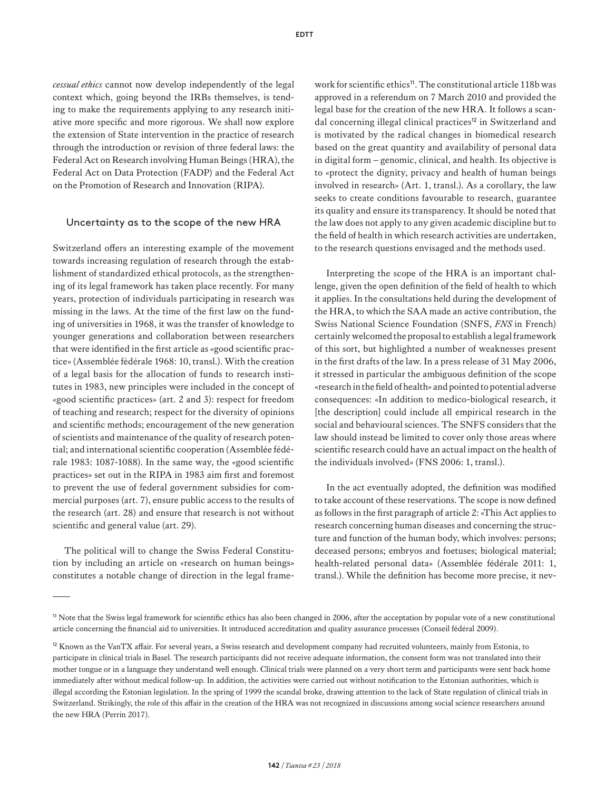*cessual ethics* cannot now develop independently of the legal context which, going beyond the IRBs themselves, is tending to make the requirements applying to any research initiative more specific and more rigorous. We shall now explore the extension of State intervention in the practice of research through the introduction or revision of three federal laws: the Federal Act on Research involving Human Beings (HRA), the Federal Act on Data Protection (FADP) and the Federal Act on the Promotion of Research and Innovation (RIPA).

#### Uncertainty as to the scope of the new HRA

Switzerland offers an interesting example of the movement towards increasing regulation of research through the establishment of standardized ethical protocols, as the strengthening of its legal framework has taken place recently. For many years, protection of individuals participating in research was missing in the laws. At the time of the first law on the funding of universities in 1968, it was the transfer of knowledge to younger generations and collaboration between researchers that were identified in the first article as «good scientific practice» (Assemblée fédérale 1968: 10, transl.). With the creation of a legal basis for the allocation of funds to research institutes in 1983, new principles were included in the concept of «good scientific practices» (art. 2 and 3): respect for freedom of teaching and research; respect for the diversity of opinions and scientific methods; encouragement of the new generation of scientists and maintenance of the quality of research potential; and international scientific cooperation (Assemblée fédérale 1983: 1087-1088). In the same way, the «good scientific practices» set out in the RIPA in 1983 aim first and foremost to prevent the use of federal government subsidies for commercial purposes (art. 7), ensure public access to the results of the research (art. 28) and ensure that research is not without scientific and general value (art. 29).

The political will to change the Swiss Federal Constitution by including an article on «research on human beings» constitutes a notable change of direction in the legal frame-

work for scientific ethics<sup>11</sup>. The constitutional article 118b was approved in a referendum on 7 March 2010 and provided the legal base for the creation of the new HRA. It follows a scandal concerning illegal clinical practices<sup>12</sup> in Switzerland and is motivated by the radical changes in biomedical research based on the great quantity and availability of personal data in digital form – genomic, clinical, and health. Its objective is to «protect the dignity, privacy and health of human beings involved in research» (Art. 1, transl.). As a corollary, the law seeks to create conditions favourable to research, guarantee its quality and ensure its transparency. It should be noted that the law does not apply to any given academic discipline but to the field of health in which research activities are undertaken, to the research questions envisaged and the methods used.

Interpreting the scope of the HRA is an important challenge, given the open definition of the field of health to which it applies. In the consultations held during the development of the HRA, to which the SAA made an active contribution, the Swiss National Science Foundation (SNFS, *FNS* in French) certainly welcomed the proposal to establish a legal framework of this sort, but highlighted a number of weaknesses present in the first drafts of the law. In a press release of 31 May 2006, it stressed in particular the ambiguous definition of the scope «research in the field of health» and pointed to potential adverse consequences: «In addition to medico-biological research, it [the description] could include all empirical research in the social and behavioural sciences. The SNFS considers that the law should instead be limited to cover only those areas where scientific research could have an actual impact on the health of the individuals involved» (FNS 2006: 1, transl.).

In the act eventually adopted, the definition was modified to take account of these reservations. The scope is now defined as follows in the first paragraph of article 2: «This Act applies to research concerning human diseases and concerning the structure and function of the human body, which involves: persons; deceased persons; embryos and foetuses; biological material; health-related personal data» (Assemblée fédérale 2011: 1, transl.). While the definition has become more precise, it nev-

<sup>11</sup> Note that the Swiss legal framework for scientific ethics has also been changed in 2006, after the acceptation by popular vote of a new constitutional article concerning the financial aid to universities. It introduced accreditation and quality assurance processes (Conseil fédéral 2009).

<sup>&</sup>lt;sup>12</sup> Known as the VanTX affair. For several years, a Swiss research and development company had recruited volunteers, mainly from Estonia, to participate in clinical trials in Basel. The research participants did not receive adequate information, the consent form was not translated into their mother tongue or in a language they understand well enough. Clinical trials were planned on a very short term and participants were sent back home immediately after without medical follow-up. In addition, the activities were carried out without notification to the Estonian authorities, which is illegal according the Estonian legislation. In the spring of 1999 the scandal broke, drawing attention to the lack of State regulation of clinical trials in Switzerland. Strikingly, the role of this affair in the creation of the HRA was not recognized in discussions among social science researchers around the new HRA (Perrin 2017).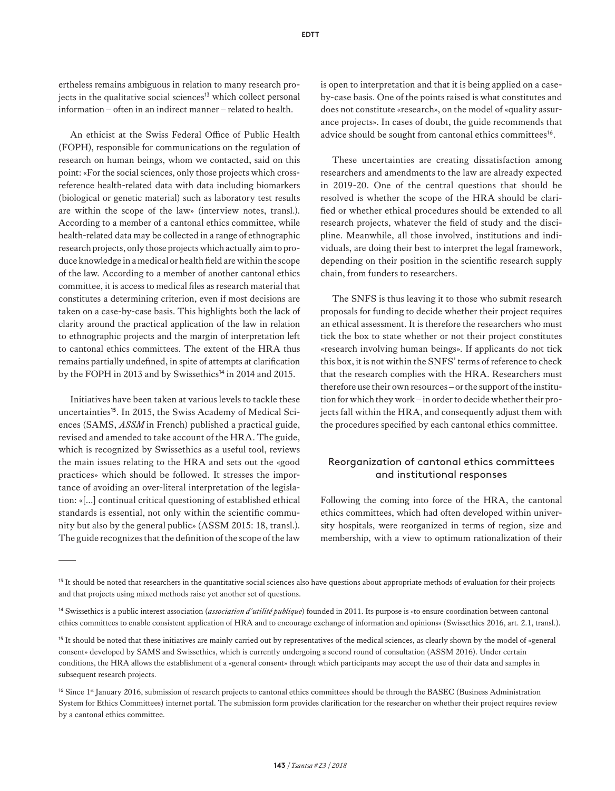ertheless remains ambiguous in relation to many research projects in the qualitative social sciences<sup>13</sup> which collect personal information – often in an indirect manner – related to health.

An ethicist at the Swiss Federal Office of Public Health (FOPH), responsible for communications on the regulation of research on human beings, whom we contacted, said on this point: «For the social sciences, only those projects which crossreference health-related data with data including biomarkers (biological or genetic material) such as laboratory test results are within the scope of the law» (interview notes, transl.). According to a member of a cantonal ethics committee, while health-related data may be collected in a range of ethnographic research projects, only those projects which actually aim to produce knowledge in a medical or health field are within the scope of the law. According to a member of another cantonal ethics committee, it is access to medical files as research material that constitutes a determining criterion, even if most decisions are taken on a case-by-case basis. This highlights both the lack of clarity around the practical application of the law in relation to ethnographic projects and the margin of interpretation left to cantonal ethics committees. The extent of the HRA thus remains partially undefined, in spite of attempts at clarification by the FOPH in 2013 and by Swissethics<sup>14</sup> in 2014 and 2015.

Initiatives have been taken at various levels to tackle these uncertainties<sup>15</sup>. In 2015, the Swiss Academy of Medical Sciences (SAMS, *ASSM* in French) published a practical guide, revised and amended to take account of the HRA. The guide, which is recognized by Swissethics as a useful tool, reviews the main issues relating to the HRA and sets out the «good practices» which should be followed. It stresses the importance of avoiding an over-literal interpretation of the legislation: «[…] continual critical questioning of established ethical standards is essential, not only within the scientific community but also by the general public» (ASSM 2015: 18, transl.). The guide recognizes that the definition of the scope of the law is open to interpretation and that it is being applied on a caseby-case basis. One of the points raised is what constitutes and does not constitute «research», on the model of «quality assurance projects». In cases of doubt, the guide recommends that advice should be sought from cantonal ethics committees<sup>16</sup>.

These uncertainties are creating dissatisfaction among researchers and amendments to the law are already expected in 2019-20. One of the central questions that should be resolved is whether the scope of the HRA should be clarified or whether ethical procedures should be extended to all research projects, whatever the field of study and the discipline. Meanwhile, all those involved, institutions and individuals, are doing their best to interpret the legal framework, depending on their position in the scientific research supply chain, from funders to researchers.

The SNFS is thus leaving it to those who submit research proposals for funding to decide whether their project requires an ethical assessment. It is therefore the researchers who must tick the box to state whether or not their project constitutes «research involving human beings». If applicants do not tick this box, it is not within the SNFS' terms of reference to check that the research complies with the HRA. Researchers must therefore use their own resources – or the support of the institution for which they work – in order to decide whether their projects fall within the HRA, and consequently adjust them with the procedures specified by each cantonal ethics committee.

#### Reorganization of cantonal ethics committees and institutional responses

Following the coming into force of the HRA, the cantonal ethics committees, which had often developed within university hospitals, were reorganized in terms of region, size and membership, with a view to optimum rationalization of their

<sup>&</sup>lt;sup>13</sup> It should be noted that researchers in the quantitative social sciences also have questions about appropriate methods of evaluation for their projects and that projects using mixed methods raise yet another set of questions.

<sup>14</sup> Swissethics is a public interest association (*association d'utilité publique*) founded in 2011. Its purpose is «to ensure coordination between cantonal ethics committees to enable consistent application of HRA and to encourage exchange of information and opinions» (Swissethics 2016, art. 2.1, transl.).

<sup>&</sup>lt;sup>15</sup> It should be noted that these initiatives are mainly carried out by representatives of the medical sciences, as clearly shown by the model of «general consent» developed by SAMS and Swissethics, which is currently undergoing a second round of consultation (ASSM 2016). Under certain conditions, the HRA allows the establishment of a «general consent» through which participants may accept the use of their data and samples in subsequent research projects.

<sup>&</sup>lt;sup>16</sup> Since 1<sup>st</sup> January 2016, submission of research projects to cantonal ethics committees should be through the BASEC (Business Administration System for Ethics Committees) internet portal. The submission form provides clarification for the researcher on whether their project requires review by a cantonal ethics committee.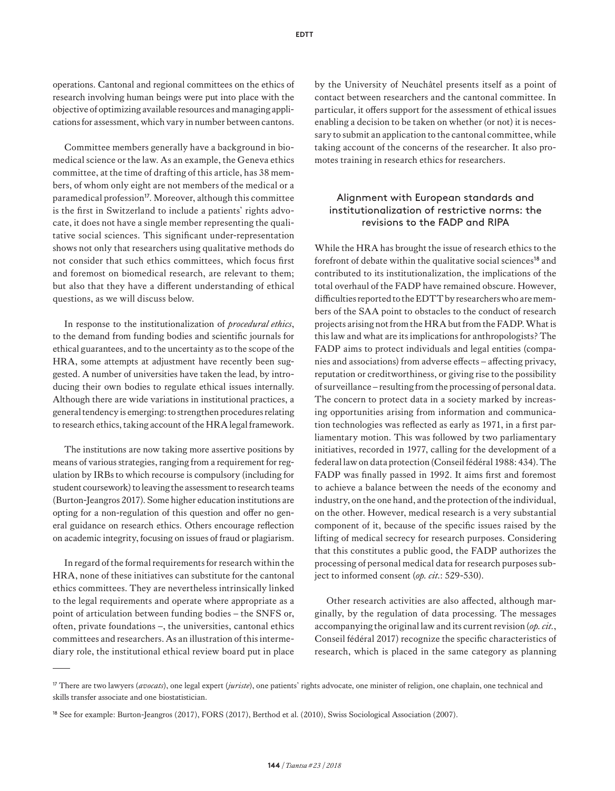operations. Cantonal and regional committees on the ethics of research involving human beings were put into place with the objective of optimizing available resources and managing applications for assessment, which vary in number between cantons.

Committee members generally have a background in biomedical science or the law. As an example, the Geneva ethics committee, at the time of drafting of this article, has 38 members, of whom only eight are not members of the medical or a paramedical profession<sup>17</sup>. Moreover, although this committee is the first in Switzerland to include a patients' rights advocate, it does not have a single member representing the qualitative social sciences. This significant under-representation shows not only that researchers using qualitative methods do not consider that such ethics committees, which focus first and foremost on biomedical research, are relevant to them; but also that they have a different understanding of ethical questions, as we will discuss below.

In response to the institutionalization of *procedural ethics*, to the demand from funding bodies and scientific journals for ethical guarantees, and to the uncertainty as to the scope of the HRA, some attempts at adjustment have recently been suggested. A number of universities have taken the lead, by introducing their own bodies to regulate ethical issues internally. Although there are wide variations in institutional practices, a general tendency is emerging: to strengthen procedures relating to research ethics, taking account of the HRA legal framework.

The institutions are now taking more assertive positions by means of various strategies, ranging from a requirement for regulation by IRBs to which recourse is compulsory (including for student coursework) to leaving the assessment to research teams (Burton-Jeangros 2017). Some higher education institutions are opting for a non-regulation of this question and offer no general guidance on research ethics. Others encourage reflection on academic integrity, focusing on issues of fraud or plagiarism.

In regard of the formal requirements for research within the HRA, none of these initiatives can substitute for the cantonal ethics committees. They are nevertheless intrinsically linked to the legal requirements and operate where appropriate as a point of articulation between funding bodies – the SNFS or, often, private foundations –, the universities, cantonal ethics committees and researchers. As an illustration of this intermediary role, the institutional ethical review board put in place by the University of Neuchâtel presents itself as a point of contact between researchers and the cantonal committee. In particular, it offers support for the assessment of ethical issues enabling a decision to be taken on whether (or not) it is necessary to submit an application to the cantonal committee, while taking account of the concerns of the researcher. It also promotes training in research ethics for researchers.

#### Alignment with European standards and institutionalization of restrictive norms: the revisions to the FADP and RIPA

While the HRA has brought the issue of research ethics to the forefront of debate within the qualitative social sciences<sup>18</sup> and contributed to its institutionalization, the implications of the total overhaul of the FADP have remained obscure. However, difficulties reported to the EDTT by researchers who are members of the SAA point to obstacles to the conduct of research projects arising not from the HRA but from the FADP. What is this law and what are its implications for anthropologists? The FADP aims to protect individuals and legal entities (companies and associations) from adverse effects – affecting privacy, reputation or creditworthiness, or giving rise to the possibility of surveillance – resulting from the processing of personal data. The concern to protect data in a society marked by increasing opportunities arising from information and communication technologies was reflected as early as 1971, in a first parliamentary motion. This was followed by two parliamentary initiatives, recorded in 1977, calling for the development of a federal law on data protection (Conseil fédéral 1988: 434). The FADP was finally passed in 1992. It aims first and foremost to achieve a balance between the needs of the economy and industry, on the one hand, and the protection of the individual, on the other. However, medical research is a very substantial component of it, because of the specific issues raised by the lifting of medical secrecy for research purposes. Considering that this constitutes a public good, the FADP authorizes the processing of personal medical data for research purposes subject to informed consent (*op. cit.*: 529-530).

Other research activities are also affected, although marginally, by the regulation of data processing. The messages accompanying the original law and its current revision (*op. cit.*, Conseil fédéral 2017) recognize the specific characteristics of research, which is placed in the same category as planning

<sup>&</sup>lt;sup>17</sup> There are two lawyers (*avocats*), one legal expert (*juriste*), one patients' rights advocate, one minister of religion, one chaplain, one technical and skills transfer associate and one biostatistician.

<sup>18</sup> See for example: Burton-Jeangros (2017), FORS (2017), Berthod et al. (2010), Swiss Sociological Association (2007).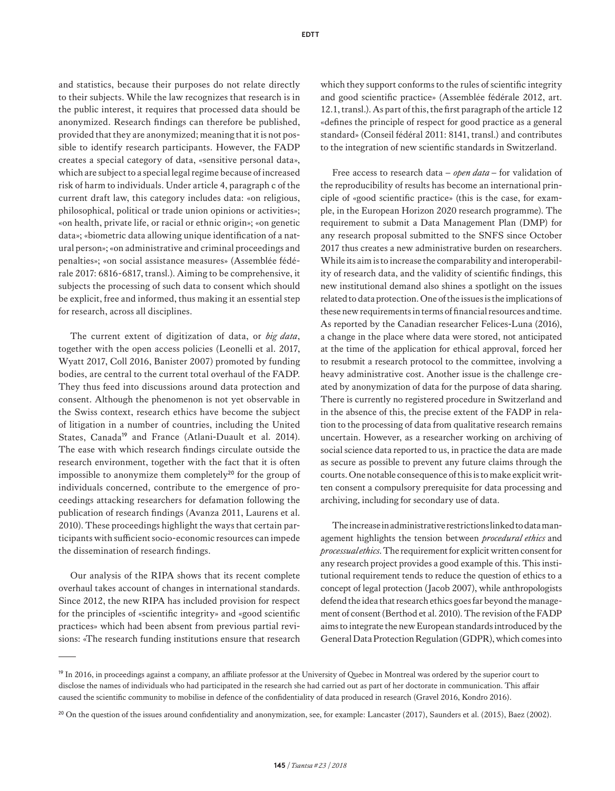and statistics, because their purposes do not relate directly to their subjects. While the law recognizes that research is in the public interest, it requires that processed data should be anonymized. Research findings can therefore be published, provided that they are anonymized; meaning that it is not possible to identify research participants. However, the FADP creates a special category of data, «sensitive personal data», which are subject to a special legal regime because of increased risk of harm to individuals. Under article 4, paragraph c of the current draft law, this category includes data: «on religious, philosophical, political or trade union opinions or activities»; «on health, private life, or racial or ethnic origin»; «on genetic data»; «biometric data allowing unique identification of a natural person»; «on administrative and criminal proceedings and penalties»; «on social assistance measures» (Assemblée fédérale 2017: 6816-6817, transl.). Aiming to be comprehensive, it subjects the processing of such data to consent which should be explicit, free and informed, thus making it an essential step for research, across all disciplines.

The current extent of digitization of data, or *big data*, together with the open access policies (Leonelli et al. 2017, Wyatt 2017, Coll 2016, Banister 2007) promoted by funding bodies, are central to the current total overhaul of the FADP. They thus feed into discussions around data protection and consent. Although the phenomenon is not yet observable in the Swiss context, research ethics have become the subject of litigation in a number of countries, including the United States, Canada<sup>19</sup> and France (Atlani-Duault et al. 2014). The ease with which research findings circulate outside the research environment, together with the fact that it is often impossible to anonymize them completely<sup>20</sup> for the group of individuals concerned, contribute to the emergence of proceedings attacking researchers for defamation following the publication of research findings (Avanza 2011, Laurens et al. 2010). These proceedings highlight the ways that certain participants with sufficient socio-economic resources can impede the dissemination of research findings.

Our analysis of the RIPA shows that its recent complete overhaul takes account of changes in international standards. Since 2012, the new RIPA has included provision for respect for the principles of «scientific integrity» and «good scientific practices» which had been absent from previous partial revisions: «The research funding institutions ensure that research which they support conforms to the rules of scientific integrity and good scientific practice» (Assemblée fédérale 2012, art. 12.1, transl.). As part of this, the first paragraph of the article 12 «defines the principle of respect for good practice as a general standard» (Conseil fédéral 2011: 8141, transl.) and contributes to the integration of new scientific standards in Switzerland.

Free access to research data – *open data* – for validation of the reproducibility of results has become an international principle of «good scientific practice» (this is the case, for example, in the European Horizon 2020 research programme). The requirement to submit a Data Management Plan (DMP) for any research proposal submitted to the SNFS since October 2017 thus creates a new administrative burden on researchers. While its aim is to increase the comparability and interoperability of research data, and the validity of scientific findings, this new institutional demand also shines a spotlight on the issues related to data protection. One of the issues is the implications of these new requirements in terms of financial resources and time. As reported by the Canadian researcher Felices-Luna (2016), a change in the place where data were stored, not anticipated at the time of the application for ethical approval, forced her to resubmit a research protocol to the committee, involving a heavy administrative cost. Another issue is the challenge created by anonymization of data for the purpose of data sharing. There is currently no registered procedure in Switzerland and in the absence of this, the precise extent of the FADP in relation to the processing of data from qualitative research remains uncertain. However, as a researcher working on archiving of social science data reported to us, in practice the data are made as secure as possible to prevent any future claims through the courts. One notable consequence of this is to make explicit written consent a compulsory prerequisite for data processing and archiving, including for secondary use of data.

The increase in administrative restrictions linked to data management highlights the tension between *procedural ethics* and *processual ethics*. The requirement for explicit written consent for any research project provides a good example of this. This institutional requirement tends to reduce the question of ethics to a concept of legal protection (Jacob 2007), while anthropologists defend the idea that research ethics goes far beyond the management of consent (Berthod et al. 2010). The revision of the FADP aims to integrate the new European standards introduced by the General Data Protection Regulation (GDPR), which comes into

<sup>&</sup>lt;sup>19</sup> In 2016, in proceedings against a company, an affiliate professor at the University of Quebec in Montreal was ordered by the superior court to disclose the names of individuals who had participated in the research she had carried out as part of her doctorate in communication. This affair caused the scientific community to mobilise in defence of the confidentiality of data produced in research (Gravel 2016, Kondro 2016).

<sup>&</sup>lt;sup>20</sup> On the question of the issues around confidentiality and anonymization, see, for example: Lancaster (2017), Saunders et al. (2015), Baez (2002).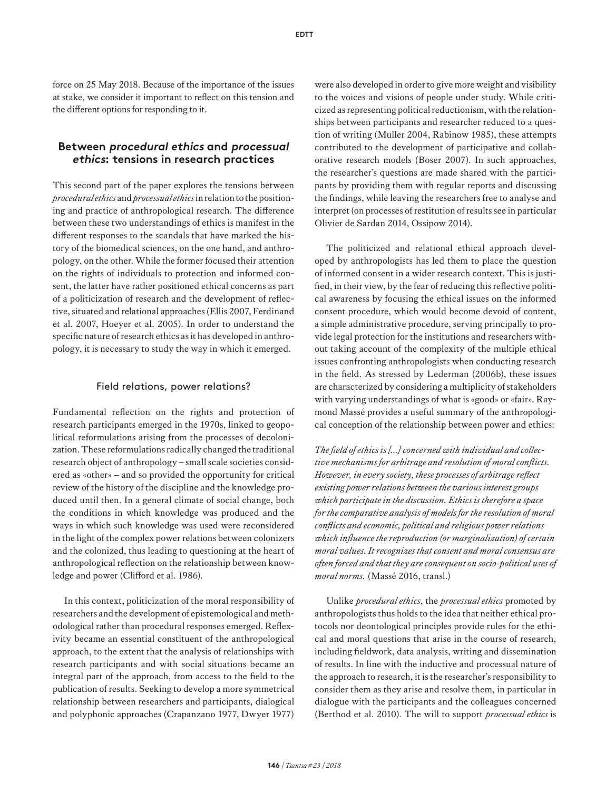force on 25 May 2018. Because of the importance of the issues at stake, we consider it important to reflect on this tension and the different options for responding to it.

#### **Between procedural ethics and processua<sup>l</sup> ethics: tensions in research practices**

This second part of the paper explores the tensions between *procedural ethics* and *processual ethics* in relation to the positioning and practice of anthropological research. The difference between these two understandings of ethics is manifest in the different responses to the scandals that have marked the history of the biomedical sciences, on the one hand, and anthropology, on the other. While the former focused their attention on the rights of individuals to protection and informed consent, the latter have rather positioned ethical concerns as part of a politicization of research and the development of reflective, situated and relational approaches (Ellis 2007, Ferdinand et al. 2007, Hoeyer et al. 2005). In order to understand the specific nature of research ethics as it has developed in anthropology, it is necessary to study the way in which it emerged.

#### Field relations, power relations?

Fundamental reflection on the rights and protection of research participants emerged in the 1970s, linked to geopolitical reformulations arising from the processes of decolonization. These reformulations radically changed the traditional research object of anthropology – small scale societies considered as «other» – and so provided the opportunity for critical review of the history of the discipline and the knowledge produced until then. In a general climate of social change, both the conditions in which knowledge was produced and the ways in which such knowledge was used were reconsidered in the light of the complex power relations between colonizers and the colonized, thus leading to questioning at the heart of anthropological reflection on the relationship between knowledge and power (Clifford et al. 1986).

In this context, politicization of the moral responsibility of researchers and the development of epistemological and methodological rather than procedural responses emerged. Reflexivity became an essential constituent of the anthropological approach, to the extent that the analysis of relationships with research participants and with social situations became an integral part of the approach, from access to the field to the publication of results. Seeking to develop a more symmetrical relationship between researchers and participants, dialogical and polyphonic approaches (Crapanzano 1977, Dwyer 1977)

were also developed in order to give more weight and visibility to the voices and visions of people under study. While criticized as representing political reductionism, with the relationships between participants and researcher reduced to a question of writing (Muller 2004, Rabinow 1985), these attempts contributed to the development of participative and collaborative research models (Boser 2007). In such approaches, the researcher's questions are made shared with the participants by providing them with regular reports and discussing the findings, while leaving the researchers free to analyse and interpret (on processes of restitution of results see in particular Olivier de Sardan 2014, Ossipow 2014).

The politicized and relational ethical approach developed by anthropologists has led them to place the question of informed consent in a wider research context. This is justified, in their view, by the fear of reducing this reflective political awareness by focusing the ethical issues on the informed consent procedure, which would become devoid of content, a simple administrative procedure, serving principally to provide legal protection for the institutions and researchers without taking account of the complexity of the multiple ethical issues confronting anthropologists when conducting research in the field. As stressed by Lederman (2006b), these issues are characterized by considering a multiplicity of stakeholders with varying understandings of what is «good» or «fair». Raymond Massé provides a useful summary of the anthropological conception of the relationship between power and ethics:

*The field of ethics is [...] concerned with individual and collective mechanisms for arbitrage and resolution of moral conflicts. However, in every society, these processes of arbitrage reflect existing power relations between the various interest groups which participate in the discussion. Ethics is therefore a space for the comparative analysis of models for the resolution of moral conflicts and economic, political and religious power relations which influence the reproduction (or marginalization) of certain moral values. It recognizes that consent and moral consensus are often forced and that they are consequent on socio-political uses of moral norms.* (Massé 2016, transl.)

Unlike *procedural ethics*, the *processual ethics* promoted by anthropologists thus holds to the idea that neither ethical protocols nor deontological principles provide rules for the ethical and moral questions that arise in the course of research, including fieldwork, data analysis, writing and dissemination of results. In line with the inductive and processual nature of the approach to research, it is the researcher's responsibility to consider them as they arise and resolve them, in particular in dialogue with the participants and the colleagues concerned (Berthod et al. 2010). The will to support *processual ethics* is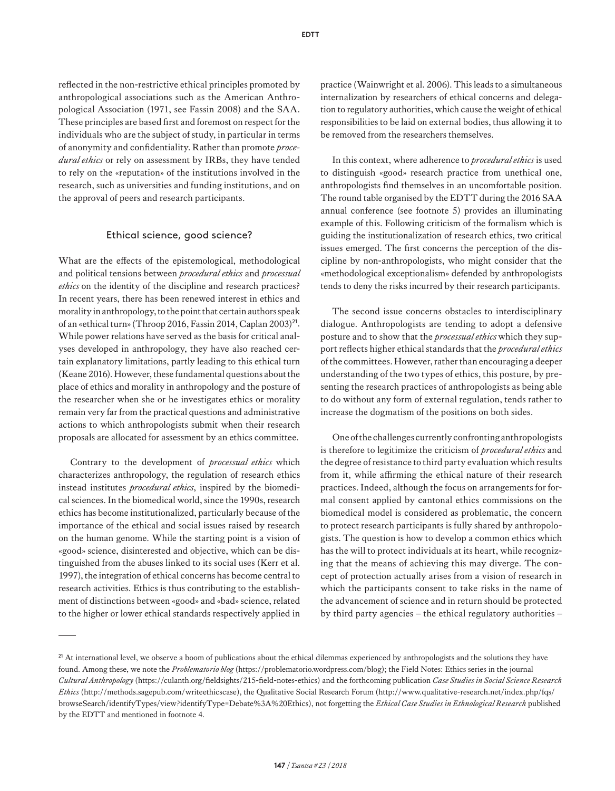reflected in the non-restrictive ethical principles promoted by anthropological associations such as the American Anthropological Association (1971, see Fassin 2008) and the SAA. These principles are based first and foremost on respect for the individuals who are the subject of study, in particular in terms of anonymity and confidentiality. Rather than promote *procedural ethics* or rely on assessment by IRBs, they have tended to rely on the «reputation» of the institutions involved in the research, such as universities and funding institutions, and on the approval of peers and research participants.

#### Ethical science, good science?

What are the effects of the epistemological, methodological and political tensions between *procedural ethics* and *processual ethics* on the identity of the discipline and research practices? In recent years, there has been renewed interest in ethics and morality in anthropology, to the point that certain authors speak of an «ethical turn» (Throop 2016, Fassin 2014, Caplan 2003)<sup>21</sup>. While power relations have served as the basis for critical analyses developed in anthropology, they have also reached certain explanatory limitations, partly leading to this ethical turn (Keane 2016). However, these fundamental questions about the place of ethics and morality in anthropology and the posture of the researcher when she or he investigates ethics or morality remain very far from the practical questions and administrative actions to which anthropologists submit when their research proposals are allocated for assessment by an ethics committee.

Contrary to the development of *processual ethics* which characterizes anthropology, the regulation of research ethics instead institutes *procedural ethics*, inspired by the biomedical sciences. In the biomedical world, since the 1990s, research ethics has become institutionalized, particularly because of the importance of the ethical and social issues raised by research on the human genome. While the starting point is a vision of «good» science, disinterested and objective, which can be distinguished from the abuses linked to its social uses (Kerr et al. 1997), the integration of ethical concerns has become central to research activities. Ethics is thus contributing to the establishment of distinctions between «good» and «bad» science, related to the higher or lower ethical standards respectively applied in practice (Wainwright et al. 2006). This leads to a simultaneous internalization by researchers of ethical concerns and delegation to regulatory authorities, which cause the weight of ethical responsibilities to be laid on external bodies, thus allowing it to be removed from the researchers themselves.

In this context, where adherence to *procedural ethics* is used to distinguish «good» research practice from unethical one, anthropologists find themselves in an uncomfortable position. The round table organised by the EDTT during the 2016 SAA annual conference (see footnote 5) provides an illuminating example of this. Following criticism of the formalism which is guiding the institutionalization of research ethics, two critical issues emerged. The first concerns the perception of the discipline by non-anthropologists, who might consider that the «methodological exceptionalism» defended by anthropologists tends to deny the risks incurred by their research participants.

The second issue concerns obstacles to interdisciplinary dialogue. Anthropologists are tending to adopt a defensive posture and to show that the *processual ethics* which they support reflects higher ethical standards that the *procedural ethics* of the committees. However, rather than encouraging a deeper understanding of the two types of ethics, this posture, by presenting the research practices of anthropologists as being able to do without any form of external regulation, tends rather to increase the dogmatism of the positions on both sides.

One of the challenges currently confronting anthropologists is therefore to legitimize the criticism of *procedural ethics* and the degree of resistance to third party evaluation which results from it, while affirming the ethical nature of their research practices. Indeed, although the focus on arrangements for formal consent applied by cantonal ethics commissions on the biomedical model is considered as problematic, the concern to protect research participants is fully shared by anthropologists. The question is how to develop a common ethics which has the will to protect individuals at its heart, while recognizing that the means of achieving this may diverge. The concept of protection actually arises from a vision of research in which the participants consent to take risks in the name of the advancement of science and in return should be protected by third party agencies – the ethical regulatory authorities –

<sup>&</sup>lt;sup>21</sup> At international level, we observe a boom of publications about the ethical dilemmas experienced by anthropologists and the solutions they have found. Among these, we note the *Problematorio blog* (<https://problematorio.wordpress.com/blog>); the Field Notes: Ethics series in the journal *Cultural Anthropology* (<https://culanth.org/fieldsights/215-field-notes-ethics>) and the forthcoming publication *Case Studies in Social Science Research Ethics* [\(http://methods.sagepub.com/writeethicscase](http://methods.sagepub.com/writeethicscase)), the Qualitative Social Research Forum ([http://www.qualitative-research.net/index.php/fqs/](http://www.qualitative-research.net/index.php/fqs/browseSearch/identifyTypes/view?identifyType=Debate%3A%20Ethics) [browseSearch/identifyTypes/view?identifyType=Debate%3A%20Ethics](http://www.qualitative-research.net/index.php/fqs/browseSearch/identifyTypes/view?identifyType=Debate%3A%20Ethics)), not forgetting the *Ethical Case Studies in Ethnological Research* published by the EDTT and mentioned in footnote 4.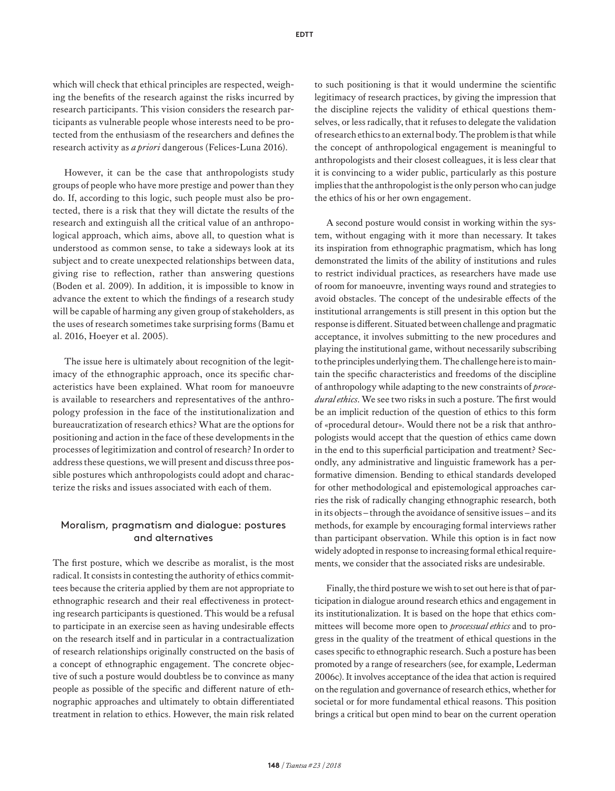which will check that ethical principles are respected, weighing the benefits of the research against the risks incurred by research participants. This vision considers the research participants as vulnerable people whose interests need to be protected from the enthusiasm of the researchers and defines the research activity as *a priori* dangerous (Felices-Luna 2016).

However, it can be the case that anthropologists study groups of people who have more prestige and power than they do. If, according to this logic, such people must also be protected, there is a risk that they will dictate the results of the research and extinguish all the critical value of an anthropological approach, which aims, above all, to question what is understood as common sense, to take a sideways look at its subject and to create unexpected relationships between data, giving rise to reflection, rather than answering questions (Boden et al. 2009). In addition, it is impossible to know in advance the extent to which the findings of a research study will be capable of harming any given group of stakeholders, as the uses of research sometimes take surprising forms (Bamu et al. 2016, Hoeyer et al. 2005).

The issue here is ultimately about recognition of the legitimacy of the ethnographic approach, once its specific characteristics have been explained. What room for manoeuvre is available to researchers and representatives of the anthropology profession in the face of the institutionalization and bureaucratization of research ethics? What are the options for positioning and action in the face of these developments in the processes of legitimization and control of research? In order to address these questions, we will present and discuss three possible postures which anthropologists could adopt and characterize the risks and issues associated with each of them.

#### Moralism, pragmatism and dialogue: postures and alternatives

The first posture, which we describe as moralist, is the most radical. It consists in contesting the authority of ethics committees because the criteria applied by them are not appropriate to ethnographic research and their real effectiveness in protecting research participants is questioned. This would be a refusal to participate in an exercise seen as having undesirable effects on the research itself and in particular in a contractualization of research relationships originally constructed on the basis of a concept of ethnographic engagement. The concrete objective of such a posture would doubtless be to convince as many people as possible of the specific and different nature of ethnographic approaches and ultimately to obtain differentiated treatment in relation to ethics. However, the main risk related to such positioning is that it would undermine the scientific legitimacy of research practices, by giving the impression that the discipline rejects the validity of ethical questions themselves, or less radically, that it refuses to delegate the validation of research ethics to an external body. The problem is that while the concept of anthropological engagement is meaningful to anthropologists and their closest colleagues, it is less clear that it is convincing to a wider public, particularly as this posture implies that the anthropologist is the only person who can judge the ethics of his or her own engagement.

A second posture would consist in working within the system, without engaging with it more than necessary. It takes its inspiration from ethnographic pragmatism, which has long demonstrated the limits of the ability of institutions and rules to restrict individual practices, as researchers have made use of room for manoeuvre, inventing ways round and strategies to avoid obstacles. The concept of the undesirable effects of the institutional arrangements is still present in this option but the response is different. Situated between challenge and pragmatic acceptance, it involves submitting to the new procedures and playing the institutional game, without necessarily subscribing to the principles underlying them. The challenge here is to maintain the specific characteristics and freedoms of the discipline of anthropology while adapting to the new constraints of *procedural ethics*. We see two risks in such a posture. The first would be an implicit reduction of the question of ethics to this form of «procedural detour». Would there not be a risk that anthropologists would accept that the question of ethics came down in the end to this superficial participation and treatment? Secondly, any administrative and linguistic framework has a performative dimension. Bending to ethical standards developed for other methodological and epistemological approaches carries the risk of radically changing ethnographic research, both in its objects – through the avoidance of sensitive issues – and its methods, for example by encouraging formal interviews rather than participant observation. While this option is in fact now widely adopted in response to increasing formal ethical requirements, we consider that the associated risks are undesirable.

Finally, the third posture we wish to set out here is that of participation in dialogue around research ethics and engagement in its institutionalization. It is based on the hope that ethics committees will become more open to *processual ethics* and to progress in the quality of the treatment of ethical questions in the cases specific to ethnographic research. Such a posture has been promoted by a range of researchers (see, for example, Lederman 2006c). It involves acceptance of the idea that action is required on the regulation and governance of research ethics, whether for societal or for more fundamental ethical reasons. This position brings a critical but open mind to bear on the current operation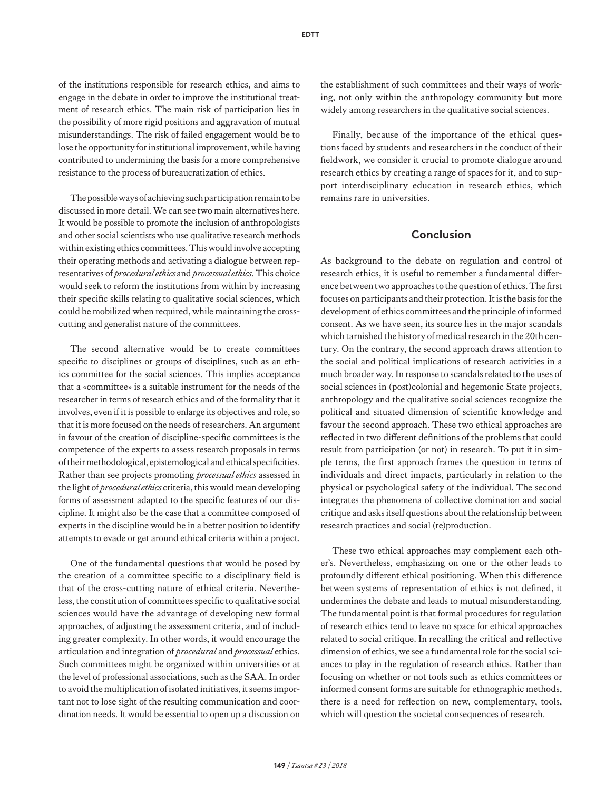of the institutions responsible for research ethics, and aims to engage in the debate in order to improve the institutional treatment of research ethics. The main risk of participation lies in the possibility of more rigid positions and aggravation of mutual misunderstandings. The risk of failed engagement would be to lose the opportunity for institutional improvement, while having contributed to undermining the basis for a more comprehensive resistance to the process of bureaucratization of ethics.

The possible ways of achieving such participation remain to be discussed in more detail. We can see two main alternatives here. It would be possible to promote the inclusion of anthropologists and other social scientists who use qualitative research methods within existing ethics committees. This would involve accepting their operating methods and activating a dialogue between representatives of *procedural ethics* and *processual ethics*. This choice would seek to reform the institutions from within by increasing their specific skills relating to qualitative social sciences, which could be mobilized when required, while maintaining the crosscutting and generalist nature of the committees.

The second alternative would be to create committees specific to disciplines or groups of disciplines, such as an ethics committee for the social sciences. This implies acceptance that a «committee» is a suitable instrument for the needs of the researcher in terms of research ethics and of the formality that it involves, even if it is possible to enlarge its objectives and role, so that it is more focused on the needs of researchers. An argument in favour of the creation of discipline-specific committees is the competence of the experts to assess research proposals in terms of their methodological, epistemological and ethical specificities. Rather than see projects promoting *processual ethics* assessed in the light of *procedural ethics* criteria, this would mean developing forms of assessment adapted to the specific features of our discipline. It might also be the case that a committee composed of experts in the discipline would be in a better position to identify attempts to evade or get around ethical criteria within a project.

One of the fundamental questions that would be posed by the creation of a committee specific to a disciplinary field is that of the cross-cutting nature of ethical criteria. Nevertheless, the constitution of committees specific to qualitative social sciences would have the advantage of developing new formal approaches, of adjusting the assessment criteria, and of including greater complexity. In other words, it would encourage the articulation and integration of *procedural* and *processual* ethics. Such committees might be organized within universities or at the level of professional associations, such as the SAA. In order to avoid the multiplication of isolated initiatives, it seems important not to lose sight of the resulting communication and coordination needs. It would be essential to open up a discussion on the establishment of such committees and their ways of working, not only within the anthropology community but more widely among researchers in the qualitative social sciences.

Finally, because of the importance of the ethical questions faced by students and researchers in the conduct of their fieldwork, we consider it crucial to promote dialogue around research ethics by creating a range of spaces for it, and to support interdisciplinary education in research ethics, which remains rare in universities.

#### **Conclusion**

As background to the debate on regulation and control of research ethics, it is useful to remember a fundamental difference between two approaches to the question of ethics. The first focuses on participants and their protection. It is the basis for the development of ethics committees and the principle of informed consent. As we have seen, its source lies in the major scandals which tarnished the history of medical research in the 20th century. On the contrary, the second approach draws attention to the social and political implications of research activities in a much broader way. In response to scandals related to the uses of social sciences in (post)colonial and hegemonic State projects, anthropology and the qualitative social sciences recognize the political and situated dimension of scientific knowledge and favour the second approach. These two ethical approaches are reflected in two different definitions of the problems that could result from participation (or not) in research. To put it in simple terms, the first approach frames the question in terms of individuals and direct impacts, particularly in relation to the physical or psychological safety of the individual. The second integrates the phenomena of collective domination and social critique and asks itself questions about the relationship between research practices and social (re)production.

These two ethical approaches may complement each other's. Nevertheless, emphasizing on one or the other leads to profoundly different ethical positioning. When this difference between systems of representation of ethics is not defined, it undermines the debate and leads to mutual misunderstanding. The fundamental point is that formal procedures for regulation of research ethics tend to leave no space for ethical approaches related to social critique. In recalling the critical and reflective dimension of ethics, we see a fundamental role for the social sciences to play in the regulation of research ethics. Rather than focusing on whether or not tools such as ethics committees or informed consent forms are suitable for ethnographic methods, there is a need for reflection on new, complementary, tools, which will question the societal consequences of research.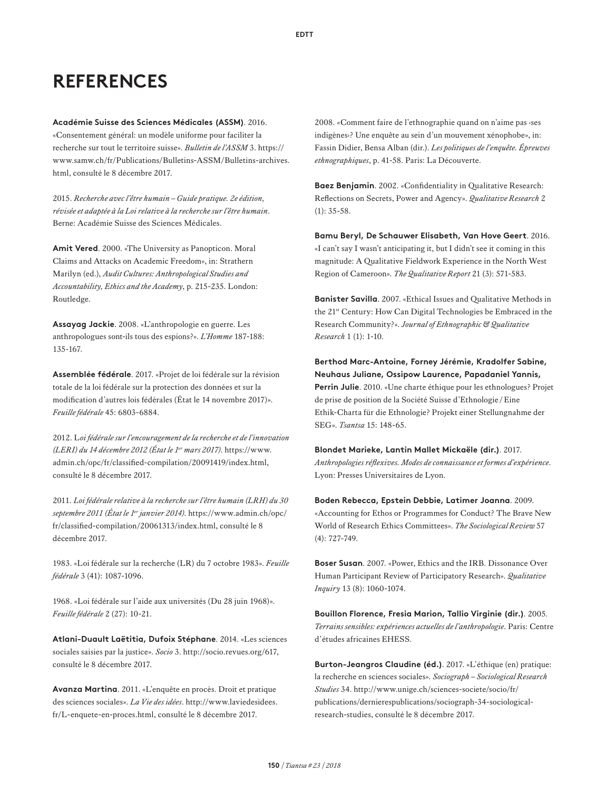## **REFERENCES**

**Académie Suisse des Sciences Médicales (ASSM)**. 2016. «Consentement général: un modèle uniforme pour faciliter la recherche sur tout le territoire suisse». *Bulletin de l'ASSM* 3. [https://](https://www.samw.ch/fr/Publications/Bulletins-ASSM/Bulletins-archives.html) [www.samw.ch/fr/Publications/Bulletins-ASSM/Bulletins-archives.](https://www.samw.ch/fr/Publications/Bulletins-ASSM/Bulletins-archives.html) [html](https://www.samw.ch/fr/Publications/Bulletins-ASSM/Bulletins-archives.html), consulté le 8 décembre 2017.

2015. *Recherche avec l'être humain – Guide pratique. 2e édition, révisée et adaptée à la Loi relative à la recherche sur l'être humain*. Berne: Académie Suisse des Sciences Médicales.

**Amit Vered**. 2000. «The University as Panopticon. Moral Claims and Attacks on Academic Freedom», in: Strathern Marilyn (ed.), *Audit Cultures: Anthropological Studies and Accountability, Ethics and the Academy*, p. 215-235. London: Routledge.

**Assayag Jackie**. 2008. «L'anthropologie en guerre. Les anthropologues sont-ils tous des espions?». *L'Homme* 187-188: 135-167.

**Assemblée fédérale**. 2017. «Projet de loi fédérale sur la révision totale de la loi fédérale sur la protection des données et sur la modification d'autres lois fédérales (État le 14 novembre 2017)». *Feuille fédérale* 45: 6803-6884.

2012. L*oi fédérale sur l'encouragement de la recherche et de l'innovation (LERI) du 14 décembre 2012 (État le 1er mars 2017)*. [https://www.](https://www.admin.ch/opc/fr/classified-compilation/20091419/index.html) [admin.ch/opc/fr/classified-compilation/20091419/index.html](https://www.admin.ch/opc/fr/classified-compilation/20091419/index.html), consulté le 8 décembre 2017.

2011. *Loi fédérale relative à la recherche sur l'être humain (LRH) du 30 septembre 2011 (État le 1er janvier 2014)*. [https://www.admin.ch/opc/](https://www.admin.ch/opc/fr/classified-compilation/20061313/index.html) [fr/classified-compilation/20061313/index.html,](https://www.admin.ch/opc/fr/classified-compilation/20061313/index.html) consulté le 8 décembre 2017.

1983. «Loi fédérale sur la recherche (LR) du 7 octobre 1983». *Feuille fédérale* 3 (41): 1087-1096.

1968. «Loi fédérale sur l'aide aux universités (Du 28 juin 1968)». *Feuille fédérale* 2 (27): 10-21.

**Atlani-Duault Laëtitia, Dufoix Stéphane**. 2014. «Les sciences sociales saisies par la justice». *Socio* 3. [http://socio.revues.org/617,](http://socio.revues.org/617) consulté le 8 décembre 2017.

**Avanza Martina**. 2011. «L'enquête en procès. Droit et pratique des sciences sociales». *La Vie des idées*. [http://www.laviedesidees.](http://www.laviedesidees.fr/L-enquete-en-proces.html) [fr/L-enquete-en-proces.html](http://www.laviedesidees.fr/L-enquete-en-proces.html), consulté le 8 décembre 2017.

2008. «Comment faire de l'ethnographie quand on n'aime pas ‹ses indigènes›? Une enquête au sein d'un mouvement xénophobe», in: Fassin Didier, Bensa Alban (dir.). *Les politiques de l'enquête. Épreuves ethnographiques*, p. 41-58. Paris: La Découverte.

**Baez Benjamin**. 2002. «Confidentiality in Qualitative Research: Reflections on Secrets, Power and Agency». *Qualitative Research* 2  $(1): 35-58.$ 

**Bamu Beryl, De Schauwer Elisabeth, Van Hove Geert**. 2016. «I can't say I wasn't anticipating it, but I didn't see it coming in this magnitude: A Qualitative Fieldwork Experience in the North West Region of Cameroon». *The Qualitative Report* 21 (3): 571-583.

**Banister Savilla**. 2007. «Ethical Issues and Qualitative Methods in the 21st Century: How Can Digital Technologies be Embraced in the Research Community?». *Journal of Ethnographic & Qualitative Research* 1 (1): 1-10.

**Berthod Marc-Antoine, Forney Jérémie, Kradolfer Sabine, Neuhaus Juliane, Ossipow Laurence, Papadaniel Yannis, Perrin Julie**. 2010. «Une charte éthique pour les ethnologues? Projet de prise de position de la Société Suisse d'Ethnologie /Eine Ethik-Charta für die Ethnologie? Projekt einer Stellungnahme der SEG». *Tsantsa* 15: 148-65.

**Blondet Marieke, Lantin Mallet Mickaële (dir.)**. 2017. *Anthropologies réflexives. Modes de connaissance et formes d'expérience*. Lyon: Presses Universitaires de Lyon.

**Boden Rebecca, Epstein Debbie, Latimer Joanna**. 2009. «Accounting for Ethos or Programmes for Conduct? The Brave New World of Research Ethics Committees». *The Sociological Review* 57 (4): 727-749.

**Boser Susan**. 2007. «Power, Ethics and the IRB. Dissonance Over Human Participant Review of Participatory Research». *Qualitative Inquiry* 13 (8): 1060-1074.

**Bouillon Florence, Fresia Marion, Tallio Virginie (dir.)**. 2005. *Terrains sensibles: expériences actuelles de l'anthropologie*. Paris: Centre d'études africaines EHESS.

**Burton-Jeangros Claudine (éd.)**. 2017. «L'éthique (en) pratique: la recherche en sciences sociales». *Sociograph – Sociological Research Studies* 34. [http://www.unige.ch/sciences-societe/socio/fr/](http://www.unige.ch/sciences-societe/socio/fr/publications/dernierespublications/sociograph-34-sociological-research-studies) [publications/dernierespublications/sociograph-34-sociological](http://www.unige.ch/sciences-societe/socio/fr/publications/dernierespublications/sociograph-34-sociological-research-studies)[research-studies](http://www.unige.ch/sciences-societe/socio/fr/publications/dernierespublications/sociograph-34-sociological-research-studies), consulté le 8 décembre 2017.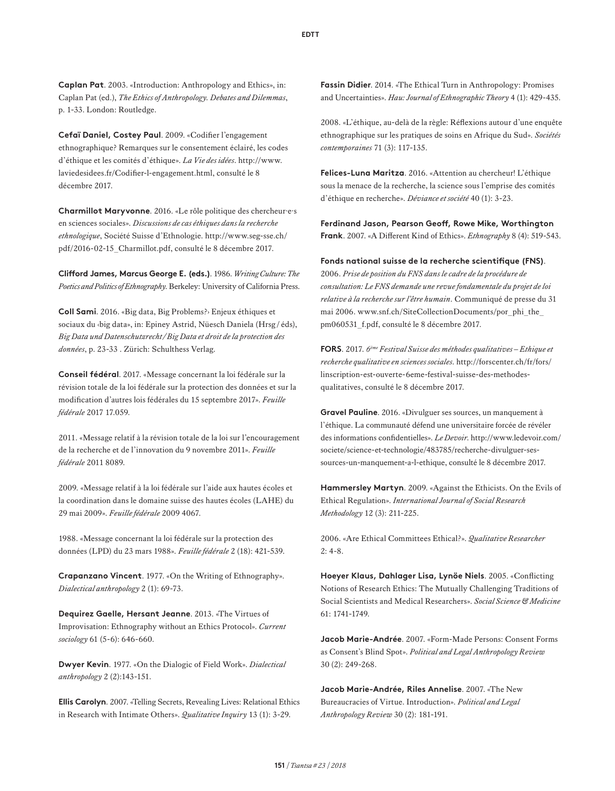**Caplan Pat**. 2003. «Introduction: Anthropology and Ethics», in: Caplan Pat (ed.), *The Ethics of Anthropology. Debates and Dilemmas*, p. 1-33. London: Routledge.

**Cefaï Daniel, Costey Paul**. 2009. «Codifier l'engagement ethnographique? Remarques sur le consentement éclairé, les codes d'éthique et les comités d'éthique». *La Vie des idées*. [http://www.](http://www.laviedesidees.fr/Codifier-l-engagement.html) [laviedesidees.fr/Codifier-l-engagement.html,](http://www.laviedesidees.fr/Codifier-l-engagement.html) consulté le 8 décembre 2017.

**Charmillot Maryvonne**. 2016. «Le rôle politique des chercheur·e·s en sciences sociales». *Discussions de cas éthiques dans la recherche ethnologique*, Société Suisse d'Ethnologie. [http://www.seg-sse.ch/](http://www.seg-sse.ch/pdf/2016-02-15_Charmillot.pdf) [pdf/2016-02-15\\_Charmillot.pdf](http://www.seg-sse.ch/pdf/2016-02-15_Charmillot.pdf), consulté le 8 décembre 2017.

**Clifford James, Marcus George E. (eds.)**. 1986. *Writing Culture: The Poetics and Politics of Ethnography*. Berkeley: University of California Press.

**Coll Sami**. 2016. «Big data, Big Problems?› Enjeux éthiques et sociaux du «big data», in: Epiney Astrid, Nüesch Daniela (Hrsg / éds), *Big Data und Datenschutzrecht/Big Data et droit de la protection des données*, p. 23-33 . Zürich: Schulthess Verlag.

**Conseil fédéral**. 2017. «Message concernant la loi fédérale sur la révision totale de la loi fédérale sur la protection des données et sur la modification d'autres lois fédérales du 15 septembre 2017». *Feuille fédérale* 2017 17.059.

2011. «Message relatif à la révision totale de la loi sur l'encouragement de la recherche et de l'innovation du 9 novembre 2011». *Feuille fédérale* 2011 8089.

2009. «Message relatif à la loi fédérale sur l'aide aux hautes écoles et la coordination dans le domaine suisse des hautes écoles (LAHE) du 29 mai 2009». *Feuille fédérale* 2009 4067.

1988. «Message concernant la loi fédérale sur la protection des données (LPD) du 23 mars 1988». *Feuille fédérale* 2 (18): 421-539.

**Crapanzano Vincent**. 1977. «On the Writing of Ethnography». *Dialectical anthropology* 2 (1): 69-73.

**Dequirez Gaelle, Hersant Jeanne**. 2013. «The Virtues of Improvisation: Ethnography without an Ethics Protocol». *Current sociology* 61 (5-6): 646-660.

**Dwyer Kevin**. 1977. «On the Dialogic of Field Work». *Dialectical anthropology* 2 (2):143-151.

**Ellis Carolyn**. 2007. «Telling Secrets, Revealing Lives: Relational Ethics in Research with Intimate Others». *Qualitative Inquiry* 13 (1): 3-29.

**Fassin Didier**. 2014. «The Ethical Turn in Anthropology: Promises and Uncertainties». *Hau: Journal of Ethnographic Theory* 4 (1): 429-435.

2008. «L'éthique, au-delà de la règle: Réflexions autour d'une enquête ethnographique sur les pratiques de soins en Afrique du Sud». *Sociétés contemporaines* 71 (3): 117-135.

**Felices-Luna Maritza**. 2016. «Attention au chercheur! L'éthique sous la menace de la recherche, la science sous l'emprise des comités d'éthique en recherche». *Déviance et société* 40 (1): 3-23.

**Ferdinand Jason, Pearson Geoff, Rowe Mike, Worthington Frank**. 2007. «A Different Kind of Ethics». *Ethnography* 8 (4): 519-543.

**Fonds national suisse de la recherche scientifique (FNS)**. 2006. *Prise de position du FNS dans le cadre de la procédure de consultation: Le FNS demande une revue fondamentale du projet de loi relative à la recherche sur l'être humain*. Communiqué de presse du 31 mai 2006. [www.snf.ch/SiteCollectionDocuments/por\\_phi\\_the\\_](www.snf.ch/SiteCollectionDocuments/por_phi_the_pm060531_f.pdf) [pm060531\\_f.pdf](www.snf.ch/SiteCollectionDocuments/por_phi_the_pm060531_f.pdf), consulté le 8 décembre 2017.

**FORS**. 2017. *6ème Festival Suisse des méthodes qualitatives – Ethique et recherche qualitative en sciences sociales*. [http://forscenter.ch/fr/fors/](http://forscenter.ch/fr/fors/linscription-est-ouverte-6eme-festival-suisse-des-methodes-qualitatives) [linscription-est-ouverte-6eme-festival-suisse-des-methodes](http://forscenter.ch/fr/fors/linscription-est-ouverte-6eme-festival-suisse-des-methodes-qualitatives)[qualitatives](http://forscenter.ch/fr/fors/linscription-est-ouverte-6eme-festival-suisse-des-methodes-qualitatives), consulté le 8 décembre 2017.

**Gravel Pauline**. 2016. «Divulguer ses sources, un manquement à l'éthique. La communauté défend une universitaire forcée de révéler des informations confidentielles». *Le Devoir*. [http://www.ledevoir.com/](http://www.ledevoir.com/societe/science-et-technologie/483785/recherche-divulguer-ses-sources-un-manquement-a-l-ethique) [societe/science-et-technologie/483785/recherche-divulguer-ses](http://www.ledevoir.com/societe/science-et-technologie/483785/recherche-divulguer-ses-sources-un-manquement-a-l-ethique)[sources-un-manquement-a-l-ethique](http://www.ledevoir.com/societe/science-et-technologie/483785/recherche-divulguer-ses-sources-un-manquement-a-l-ethique), consulté le 8 décembre 2017.

**Hammersley Martyn**. 2009. «Against the Ethicists. On the Evils of Ethical Regulation». *International Journal of Social Research Methodology* 12 (3): 211-225.

2006. «Are Ethical Committees Ethical?». *Qualitative Researcher* 2: 4-8.

**Hoeyer Klaus, Dahlager Lisa, Lynöe Niels**. 2005. «Conflicting Notions of Research Ethics: The Mutually Challenging Traditions of Social Scientists and Medical Researchers». *Social Science & Medicine* 61: 1741-1749.

**Jacob Marie-Andrée**. 2007. «Form-Made Persons: Consent Forms as Consent's Blind Spot». *Political and Legal Anthropology Review* 30 (2): 249-268.

**Jacob Marie-Andrée, Riles Annelise**. 2007. «The New Bureaucracies of Virtue. Introduction». *Political and Legal Anthropology Review* 30 (2): 181-191.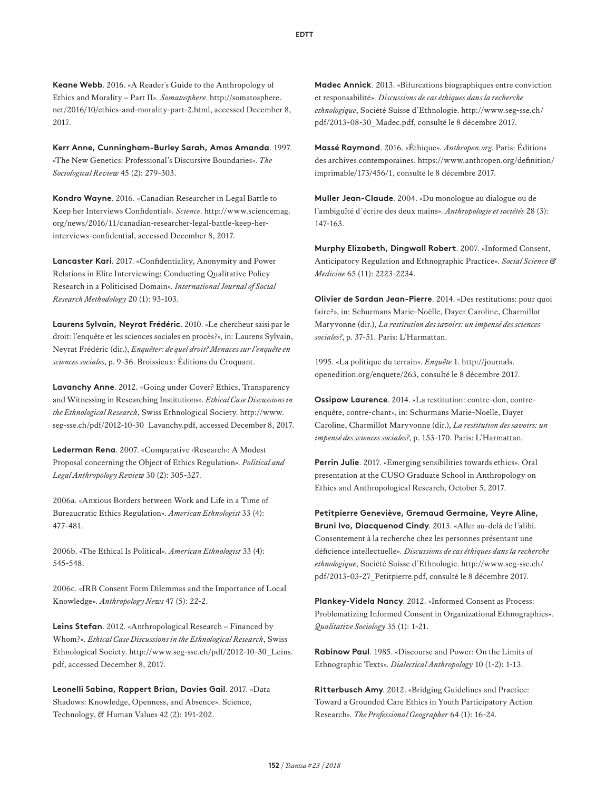**Keane Webb**. 2016. «A Reader's Guide to the Anthropology of Ethics and Morality – Part II». *Somatosphere*. [http://somatosphere.](http://somatosphere.net/2016/10/ethics-and-morality-part-2.html) [net/2016/10/ethics-and-morality-part-2.html](http://somatosphere.net/2016/10/ethics-and-morality-part-2.html), accessed December 8, 2017.

**Kerr Anne, Cunningham-Burley Sarah, Amos Amanda**. 1997. «The New Genetics: Professional's Discursive Boundaries». *The Sociological Review* 45 (2): 279-303.

**Kondro Wayne**. 2016. «Canadian Researcher in Legal Battle to Keep her Interviews Confidential». *Science*. [http://www.sciencemag.](http://www.sciencemag.org/news/2016/11/canadian-researcher-legal-battle-keep-her-interviews-confidential) [org/news/2016/11/canadian-researcher-legal-battle-keep-her](http://www.sciencemag.org/news/2016/11/canadian-researcher-legal-battle-keep-her-interviews-confidential)[interviews-confidential](http://www.sciencemag.org/news/2016/11/canadian-researcher-legal-battle-keep-her-interviews-confidential), accessed December 8, 2017.

**Lancaster Kari**. 2017. «Confidentiality, Anonymity and Power Relations in Elite Interviewing: Conducting Qualitative Policy Research in a Politicised Domain». *International Journal of Social Research Methodology* 20 (1): 93-103.

**Laurens Sylvain, Neyrat Frédéric**. 2010. «Le chercheur saisi par le droit: l'enquête et les sciences sociales en procès?», in: Laurens Sylvain, Neyrat Frédéric (dir.), *Enquêter: de quel droit? Menaces sur l'enquête en sciences sociales*, p. 9-36. Broissieux: Éditions du Croquant.

**Lavanchy Anne**. 2012. «Going under Cover? Ethics, Transparency and Witnessing in Researching Institutions». *Ethical Case Discussions in the Ethnological Research*, Swiss Ethnological Society. [http://www.](http://www.seg-sse.ch/pdf/2012-10-30_Lavanchy.pdf) [seg-sse.ch/pdf/2012-10-30\\_Lavanchy.pdf](http://www.seg-sse.ch/pdf/2012-10-30_Lavanchy.pdf), accessed December 8, 2017.

**Lederman Rena**. 2007. «Comparative ‹Research›: A Modest Proposal concerning the Object of Ethics Regulation». *Political and Legal Anthropology Review* 30 (2): 305-327.

2006a. «Anxious Borders between Work and Life in a Time of Bureaucratic Ethics Regulation». *American Ethnologist* 33 (4): 477-481.

2006b. «The Ethical Is Political». *American Ethnologist* 33 (4): 545-548.

2006c. «IRB Consent Form Dilemmas and the Importance of Local Knowledge». *Anthropology News* 47 (5): 22-2.

**Leins Stefan**. 2012. «Anthropological Research – Financed by Whom?». *Ethical Case Discussions in the Ethnological Research*, Swiss Ethnological Society. [http://www.seg-sse.ch/pdf/2012-10-30\\_Leins.](http://www.seg-sse.ch/pdf/2012-10-30_Leins.pdf) [pdf](http://www.seg-sse.ch/pdf/2012-10-30_Leins.pdf), accessed December 8, 2017.

**Leonelli Sabina, Rappert Brian, Davies Gail**. 2017. «Data Shadows: Knowledge, Openness, and Absence». Science, Technology, & Human Values 42 (2): 191-202.

**Madec Annick**. 2013. «Bifurcations biographiques entre conviction et responsabilité». *Discussions de cas éthiques dans la recherche ethnologique*, Société Suisse d'Ethnologie. [http://www.seg-sse.ch/](http://www.seg-sse.ch/pdf/2013-08-30_Madec.pdf) [pdf/2013-08-30\\_Madec.pdf](http://www.seg-sse.ch/pdf/2013-08-30_Madec.pdf), consulté le 8 décembre 2017.

**Massé Raymond**. 2016. «Éthique». *Anthropen.org*. Paris: Éditions des archives contemporaines. [https://www.anthropen.org/definition/](https://www.anthropen.org/definition/imprimable/173/456/1) [imprimable/173/456/1](https://www.anthropen.org/definition/imprimable/173/456/1), consulté le 8 décembre 2017.

**Muller Jean-Claude**. 2004. «Du monologue au dialogue ou de l'ambiguïté d'écrire des deux mains». *Anthropologie et sociétés* 28 (3): 147-163.

**Murphy Elizabeth, Dingwall Robert**. 2007. «Informed Consent, Anticipatory Regulation and Ethnographic Practice». *Social Science & Medicine* 65 (11): 2223-2234.

**Olivier de Sardan Jean-Pierre**. 2014. «Des restitutions: pour quoi faire?», in: Schurmans Marie-Noëlle, Dayer Caroline, Charmillot Maryvonne (dir.), *La restitution des savoirs: un impensé des sciences sociales?*, p. 37-51. Paris: L'Harmattan.

1995. «La politique du terrain». *Enquête* 1. [http://journals.](http://journals.openedition.org/enquete/263) [openedition.org/enquete/263](http://journals.openedition.org/enquete/263), consulté le 8 décembre 2017.

**Ossipow Laurence**. 2014. «La restitution: contre-don, contreenquête, contre-chant», in: Schurmans Marie-Noëlle, Dayer Caroline, Charmillot Maryvonne (dir.), *La restitution des savoirs: un impensé des sciences sociales?*, p. 153-170. Paris: L'Harmattan.

**Perrin Julie**. 2017. «Emerging sensibilities towards ethics». Oral presentation at the CUSO Graduate School in Anthropology on Ethics and Anthropological Research, October 5, 2017.

**Petitpierre Geneviève, Gremaud Germaine, Veyre Aline, Bruni Ivo, Diacquenod Cindy**. 2013. «Aller au-delà de l'alibi. Consentement à la recherche chez les personnes présentant une déficience intellectuelle». *Discussions de cas éthiques dans la recherche ethnologique*, Société Suisse d'Ethnologie. [http://www.seg-sse.ch/](http://www.seg-sse.ch/pdf/2013-03-27_Petitpierre.pdf) [pdf/2013-03-27\\_Petitpierre.pdf,](http://www.seg-sse.ch/pdf/2013-03-27_Petitpierre.pdf) consulté le 8 décembre 2017.

**Plankey-Videla Nancy**. 2012. «Informed Consent as Process: Problematizing Informed Consent in Organizational Ethnographies». *Qualitative Sociology* 35 (1): 1-21.

**Rabinow Paul**. 1985. «Discourse and Power: On the Limits of Ethnographic Texts». *Dialectical Anthropology* 10 (1-2): 1-13.

**Ritterbusch Amy**. 2012. «Bridging Guidelines and Practice: Toward a Grounded Care Ethics in Youth Participatory Action Research». *The Professional Geographer* 64 (1): 16-24.